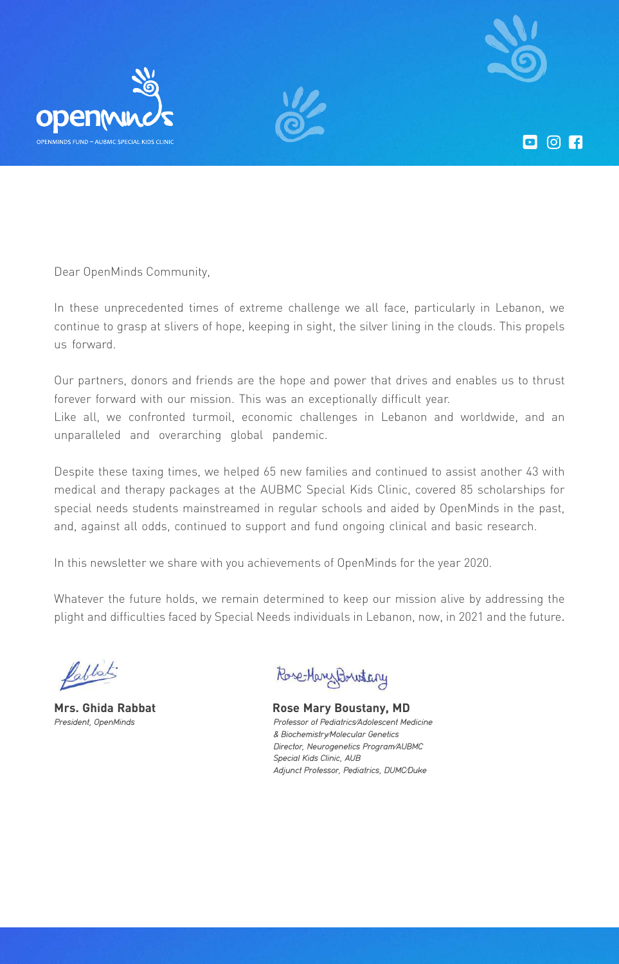

 $\Box$   $\odot$   $\Box$ 





Dear OpenMinds Community,

In these unprecedented times of extreme challenge we all face, particularly in Lebanon, we continue to grasp at slivers of hope, keeping in sight, the silver lining in the clouds. This propels us forward.

Our partners, donors and friends are the hope and power that drives and enables us to thrust forever forward with our mission. This was an exceptionally difficult year. Like all, we confronted turmoil, economic challenges in Lebanon and worldwide, and an unparalleled and overarching global pandemic.

Despite these taxing times, we helped 65 new families and continued to assist another 43 with medical and therapy packages at the AUBMC Special Kids Clinic, covered 85 scholarships for special needs students mainstreamed in regular schools and aided by OpenMinds in the past, and, against all odds, continued to support and fund ongoing clinical and basic research.

In this newsletter we share with you achievements of OpenMinds for the year 2020.

Whatever the future holds, we remain determined to keep our mission alive by addressing the plight and difficulties faced by Special Needs individuals in Lebanon, now, in 2021 and the future.

Pablist:

President, OpenMinds

Rose-Mary Bountary

Professor of Pediatrics/Adolescent Medicine & Biochemistry/Molecular Genetics Director, Neurogenetics Program/AUBMC Special Kids Clinic, AUB Adjunct Professor, Pediatrics, DUMC/Duke **Mrs. Ghida Rabbat China Rose Mary Boustany, MD**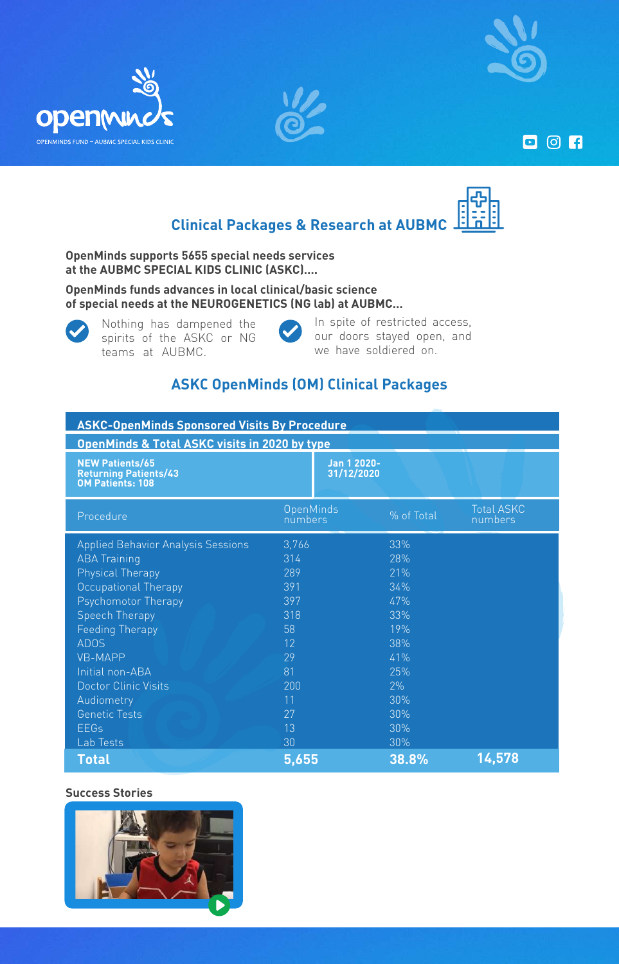

**D** © 门







**OpenMinds supports 5655 special needs services** at the AUBMC SPECIAL KIDS CLINIC (ASKC)....

**OpenMinds funds advances in local clinical/basic science** of special needs at the NEUROGENETICS (NG lab) at AUBMC...



Nothing has dampened the spirits of the ASKC or NG teams at AUBMC.



In spite of restricted access, our doors stayed open, and we have soldiered on.

## **ASKC OpenMinds (OM) Clinical Packages**

| <b>ASKC-OpenMinds Sponsored Visits By Procedure</b>                               |                           |            |                              |
|-----------------------------------------------------------------------------------|---------------------------|------------|------------------------------|
| <b>OpenMinds &amp; Total ASKC visits in 2020 by type</b>                          |                           |            |                              |
| <b>NEW Patients/65</b><br><b>Returning Patients/43</b><br><b>OM Patients: 108</b> | Jan 1 2020-<br>31/12/2020 |            |                              |
| Procedure                                                                         | OpenMinds<br>numbers      | % of Total | <b>Total ASKC</b><br>numbers |
| <b>Applied Behavior Analysis Sessions</b>                                         | 3,766                     | 33%        |                              |
| <b>ABA Training</b>                                                               | 314                       | 28%        |                              |
| <b>Physical Therapy</b>                                                           | 289                       | 21%        |                              |
| Occupational Therapy                                                              | 391                       | 34%        |                              |
| Psychomotor Therapy                                                               | 397                       | 47%        |                              |
| <b>Speech Therapy</b>                                                             | 318                       | 33%        |                              |
| <b>Feeding Therapy</b>                                                            | 58                        | 19%        |                              |
| <b>ADOS</b>                                                                       | 12                        | 38%        |                              |
| <b>VB-MAPP</b>                                                                    | 29                        | 41%        |                              |
| Initial non-ABA                                                                   | 81                        | 25%        |                              |
| <b>Doctor Clinic Visits</b>                                                       | 200                       | 2%         |                              |
| Audiometry                                                                        | 11                        | 30%        |                              |
| <b>Genetic Tests</b>                                                              | 27                        | 30%        |                              |
| <b>EEGs</b>                                                                       | 13                        | 30%        |                              |
| Lab Tests                                                                         | 30                        | 30%        |                              |
| <b>Total</b>                                                                      | 5,655                     | 38.8%      | 14,578                       |

#### **Success Stories**

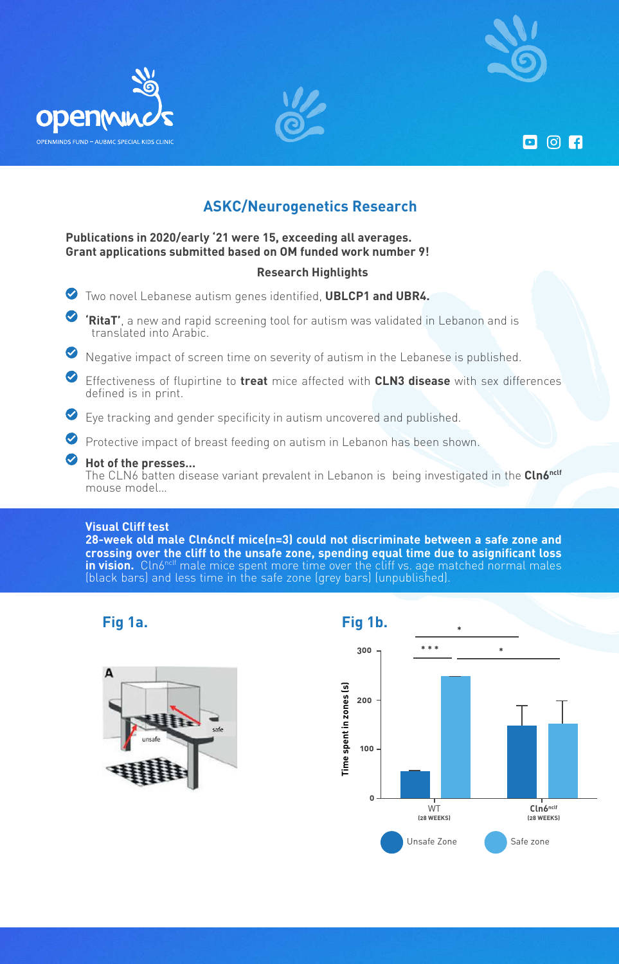

**D** 0 F





## **ASKC/Neurogenetics Research**

## **Publications in 2020/early '21 were 15, exceeding all averages. Grant applications submitted based on OM funded work number 9!**

#### **Highlights Research**

 $\bullet$  Two novel Lebanese autism genes identified, **UBLCP1 and UBR4.** 

 $\bullet$ **RitaT'**, a new and rapid screening tool for autism was validated in Lebanon and is translated into Arabic.

- $\bullet$  Negative impact of screen time on severity of autism in the Lebanese is published.
- $\bullet$  Effectiveness of flupirtine to treat mice affected with CLN3 disease with sex differences defined is in print.
- $\bullet$  Eye tracking and gender specificity in autism uncovered and published.
- Protective impact of breast feeding on autism in Lebanon has been shown.

## $\bullet$  Hot of the presses...

The CLN6 batten disease variant prevalent in Lebanon is being investigated in the **Cln6**<sup>nclf</sup> mouse model...

#### **Visual Cliff test**

**28-week old male Cln6nclf mice(n=3) could not discriminate between a safe zone and** crossing over the cliff to the unsafe zone, spending equal time due to asignificant loss **in vision.** Cln6<sup>nclf</sup> male mice spent more time over the cliff vs. age matched normal males  $\overline{\phantom{a}}$ (black bars) and less time in the safe zone (grey bars) (unpublished).



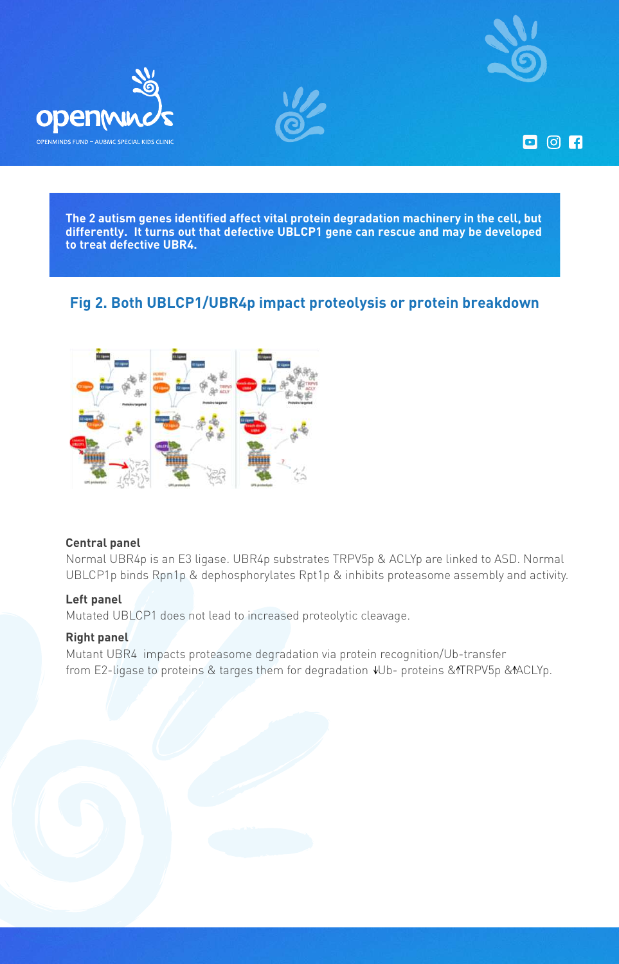







The 2 autism genes identified affect vital protein degradation machinery in the cell, but differently. It turns out that defective UBLCP1 gene can rescue and may be developed to treat defective UBR4.

## **Fig 2. Both UBLCP1/UBR4p impact proteolysis or protein breakdown**



## **panel Central**

Normal UBR4p is an E3 ligase. UBR4p substrates TRPV5p & ACLYp are linked to ASD. Normal UBLCP1p binds Rpn1p & dephosphorylates Rpt1p & inhibits proteasome assembly and activity.

## Left panel

Mutated UBLCP1 does not lead to increased proteolytic cleavage.

## **Right panel**

Mutant UBR4 impacts proteasome degradation via protein recognition/Ub-transfer from E2-ligase to proteins & targes them for degradation  $VD$ - proteins & TRPV5p & MACLYp.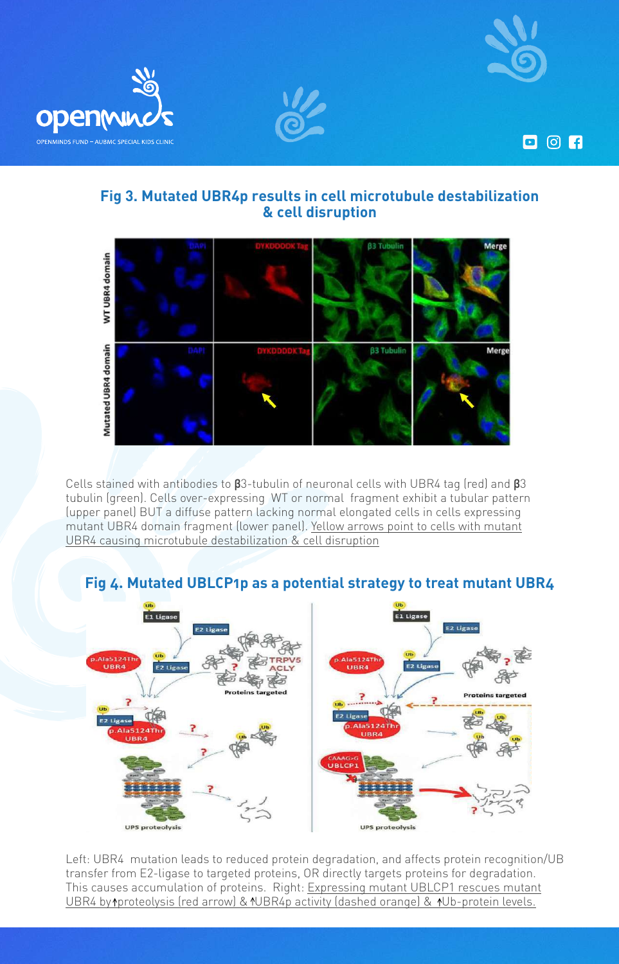

 $\Box$   $\odot$   $\Box$ 





## **Fig 3. Mutated UBR4p results in cell microtubule destabilization & cell disruption**



**Cells stained with antibodies to β3-tubulin of neuronal cells with UBR4 tag (red) and β3** tubulin (green). Cells over-expressing WT or normal fragment exhibit a tubular pattern (upper panel) BUT a diffuse pattern lacking normal elongated cells in cells expressing mutant UBR4 domain fragment (lower panel). Yellow arrows point to cells with mutant UBR4 causing microtubule destabilization & cell disruption

## **Fig 4. Mutated UBLCP1p as a potential strategy to treat mutant UBR4**



Left: UBR4 mutation leads to reduced protein degradation, and affects protein recognition/UB transfer from E2-ligase to targeted proteins, OR directly targets proteins for degradation. This causes accumulation of proteins. Right: Expressing mutant UBLCP1 rescues mutant UBR4 by 1 proteolysis (red arrow) & 1UBR4p activity (dashed orange) & 1Ub-protein levels.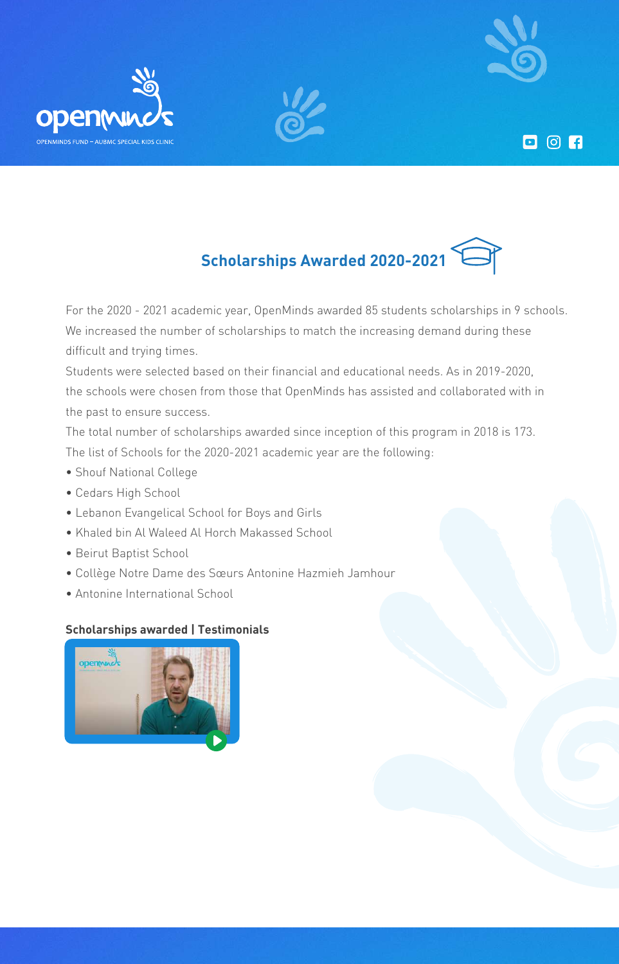

**D 0 A** 





For the 2020 - 2021 academic year, OpenMinds awarded 85 students scholarships in 9 schools. We increased the number of scholarships to match the increasing demand during these difficult and trying times.

Students were selected based on their financial and educational needs. As in 2019-2020, the schools were chosen from those that OpenMinds has assisted and collaborated with in the past to ensure success.

The total number of scholarships awarded since inception of this program in 2018 is 173. The list of Schools for the 2020-2021 academic year are the following:

- Shouf National College
- Cedars High School

openwu

- Lebanon Evangelical School for Boys and Girls
- Khaled bin Al Waleed Al Horch Makassed School
- Beirut Baptist School
- Collège Notre Dame des Sœurs Antonine Hazmieh Jamhour
- Antonine International School

## **Scholarships awarded | Testimonials**

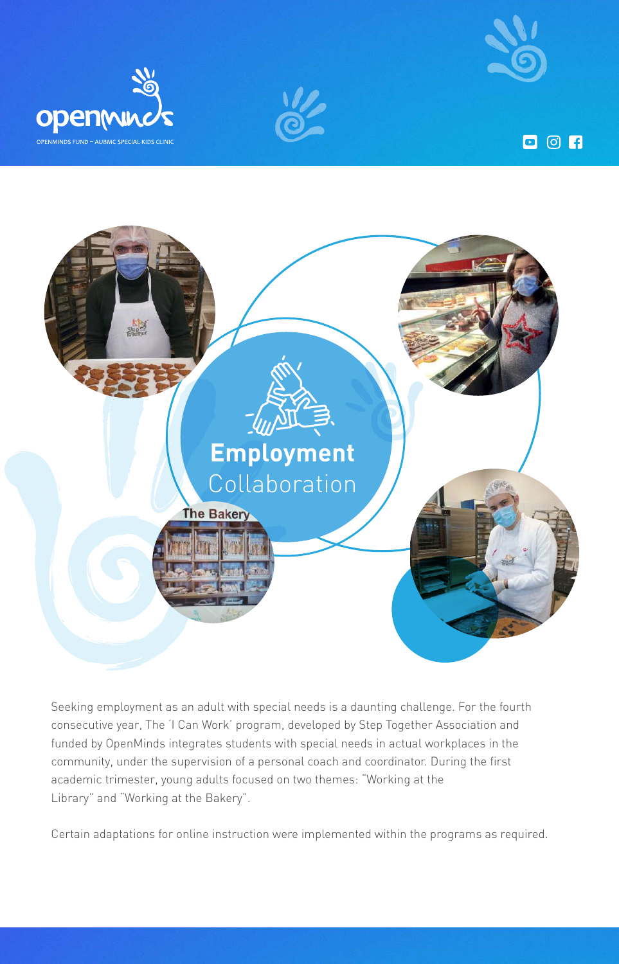

**D** © 门







Seeking employment as an adult with special needs is a daunting challenge. For the fourth consecutive year, The 'I Can Work' program, developed by Step Together Association and funded by OpenMinds integrates students with special needs in actual workplaces in the community, under the supervision of a personal coach and coordinator. During the first academic trimester, young adults focused on two themes: "Working at the Library" and "Working at the Bakery".

Certain adaptations for online instruction were implemented within the programs as required.